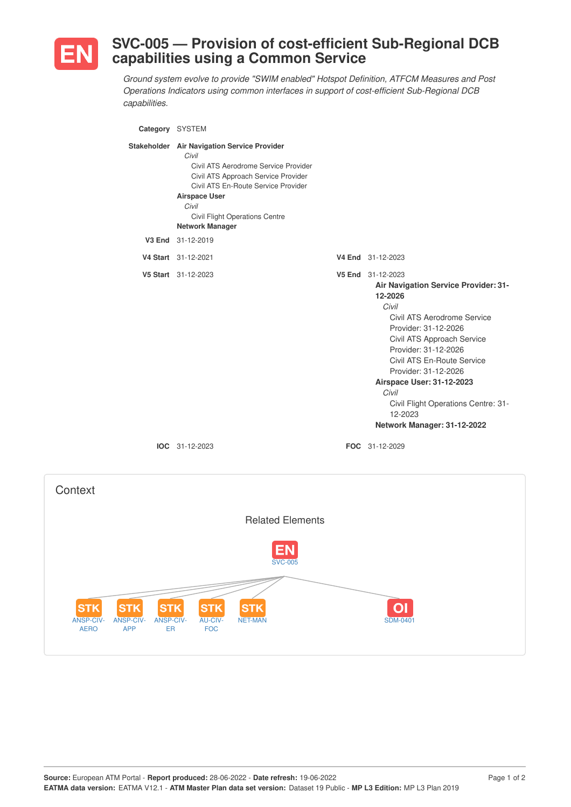

## **SVC-005 — Provision of cost-efficient Sub-Regional DCB capabilities using a Common Service**

*Ground system evolve to provide "SWIM enabled" Hotspot Definition, ATFCM Measures and Post Operations Indicators using common interfaces in support of cost-efficient Sub-Regional DCB capabilities.*

| Category SYSTEM |                                                                                                                                                                                                                                                                                |                                                                                                                                                                                                                                                                                                                                                                                |
|-----------------|--------------------------------------------------------------------------------------------------------------------------------------------------------------------------------------------------------------------------------------------------------------------------------|--------------------------------------------------------------------------------------------------------------------------------------------------------------------------------------------------------------------------------------------------------------------------------------------------------------------------------------------------------------------------------|
|                 | Stakeholder Air Navigation Service Provider<br>Civil<br>Civil ATS Aerodrome Service Provider<br>Civil ATS Approach Service Provider<br>Civil ATS En-Route Service Provider<br><b>Airspace User</b><br>Civil<br><b>Civil Flight Operations Centre</b><br><b>Network Manager</b> |                                                                                                                                                                                                                                                                                                                                                                                |
| V3 End          | 31-12-2019                                                                                                                                                                                                                                                                     |                                                                                                                                                                                                                                                                                                                                                                                |
|                 | V4 Start 31-12-2021                                                                                                                                                                                                                                                            | V4 End 31-12-2023                                                                                                                                                                                                                                                                                                                                                              |
|                 | V5 Start 31-12-2023                                                                                                                                                                                                                                                            | V5 End 31-12-2023<br><b>Air Navigation Service Provider: 31-</b><br>12-2026<br>Civil<br>Civil ATS Aerodrome Service<br>Provider: 31-12-2026<br>Civil ATS Approach Service<br>Provider: 31-12-2026<br>Civil ATS En-Route Service<br>Provider: 31-12-2026<br>Airspace User: 31-12-2023<br>Civil<br>Civil Flight Operations Centre: 31-<br>12-2023<br>Network Manager: 31-12-2022 |
|                 | $IOC 31-12-2023$                                                                                                                                                                                                                                                               | FOC 31-12-2029                                                                                                                                                                                                                                                                                                                                                                 |